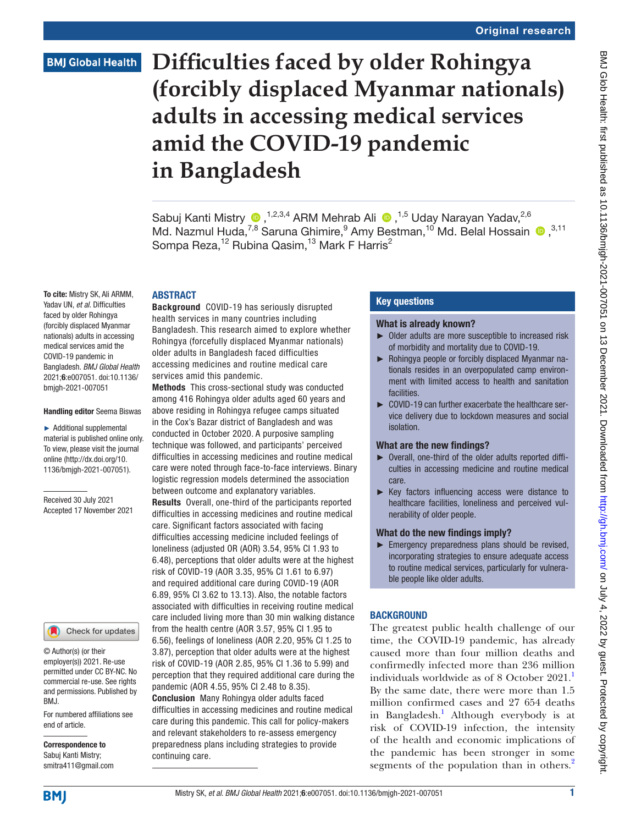# **Difficulties faced by older Rohingya (forcibly displaced Myanmar nationals) adults in accessing medical services amid the COVID-19 pandemic in Bangladesh**

SabujKanti Mistry  $\bullet$ , <sup>1,2,3,4</sup> ARM Mehrab Ali  $\bullet$ , <sup>1,5</sup> Uday Narayan Yadav, <sup>2,6</sup> Md.Nazmul Huda,<sup>7,8</sup> Saruna Ghimire,  $9$  Amy Bestman,  $^{10}$  Md. Belal Hossain  $\bigcirc$ ,  $^{3,11}$ Sompa Reza,<sup>12</sup> Rubina Qasim,<sup>13</sup> Mark F Harris<sup>2</sup>

#### ABSTRACT

To cite: Mistry SK, Ali ARMM, Yadav UN, *et al*. Difficulties faced by older Rohingya (forcibly displaced Myanmar nationals) adults in accessing medical services amid the COVID-19 pandemic in Bangladesh. *BMJ Global Health* 2021;6:e007051. doi:10.1136/ bmjgh-2021-007051

#### Handling editor Seema Biswas

► Additional supplemental material is published online only. To view, please visit the journal online ([http://dx.doi.org/10.](http://dx.doi.org/10.1136/bmjgh-2021-007051) [1136/bmjgh-2021-007051](http://dx.doi.org/10.1136/bmjgh-2021-007051)).

Received 30 July 2021 Accepted 17 November 2021

#### Check for updates

© Author(s) (or their employer(s)) 2021. Re-use permitted under CC BY-NC. No commercial re-use. See rights and permissions. Published by BMJ.

For numbered affiliations see end of article.

Correspondence to Sabuj Kanti Mistry; smitra411@gmail.com

Background COVID-19 has seriously disrupted health services in many countries including Bangladesh. This research aimed to explore whether Rohingya (forcefully displaced Myanmar nationals) older adults in Bangladesh faced difficulties accessing medicines and routine medical care services amid this pandemic.

Methods This cross-sectional study was conducted among 416 Rohingya older adults aged 60 years and above residing in Rohingya refugee camps situated in the Cox's Bazar district of Bangladesh and was conducted in October 2020. A purposive sampling technique was followed, and participants' perceived difficulties in accessing medicines and routine medical care were noted through face-to-face interviews. Binary logistic regression models determined the association between outcome and explanatory variables. Results Overall, one-third of the participants reported difficulties in accessing medicines and routine medical care. Significant factors associated with facing difficulties accessing medicine included feelings of loneliness (adjusted OR (AOR) 3.54, 95% CI 1.93 to 6.48), perceptions that older adults were at the highest risk of COVID-19 (AOR 3.35, 95% CI 1.61 to 6.97) and required additional care during COVID-19 (AOR 6.89, 95% CI 3.62 to 13.13). Also, the notable factors associated with difficulties in receiving routine medical care included living more than 30 min walking distance from the health centre (AOR 3.57, 95% CI 1.95 to 6.56), feelings of loneliness (AOR 2.20, 95% CI 1.25 to 3.87), perception that older adults were at the highest risk of COVID-19 (AOR 2.85, 95% CI 1.36 to 5.99) and perception that they required additional care during the pandemic (AOR 4.55, 95% CI 2.48 to 8.35). Conclusion Many Rohingya older adults faced difficulties in accessing medicines and routine medical care during this pandemic. This call for policy-makers and relevant stakeholders to re-assess emergency preparedness plans including strategies to provide continuing care.

## Key questions

#### What is already known?

- ► Older adults are more susceptible to increased risk of morbidity and mortality due to COVID-19.
- ► Rohingya people or forcibly displaced Myanmar nationals resides in an overpopulated camp environment with limited access to health and sanitation facilities.
- ► COVID-19 can further exacerbate the healthcare service delivery due to lockdown measures and social isolation.

#### What are the new findings?

- ► Overall, one-third of the older adults reported difficulties in accessing medicine and routine medical care.
- ► Key factors influencing access were distance to healthcare facilities, loneliness and perceived vulnerability of older people.

#### What do the new findings imply?

► Emergency preparedness plans should be revised, incorporating strategies to ensure adequate access to routine medical services, particularly for vulnerable people like older adults.

# **BACKGROUND**

The greatest public health challenge of our time, the COVID-19 pandemic, has already caused more than four million deaths and confirmedly infected more than 236 million individuals worldwide as of 8 October  $2021$  $2021$ .<sup>1</sup> By the same date, there were more than 1.5 million confirmed cases and 27 654 deaths in Bangladesh.<sup>[1](#page-8-0)</sup> Although everybody is at risk of COVID-19 infection, the intensity of the health and economic implications of the pandemic has been stronger in some segments of the population than in others.<sup>[2](#page-8-1)</sup>

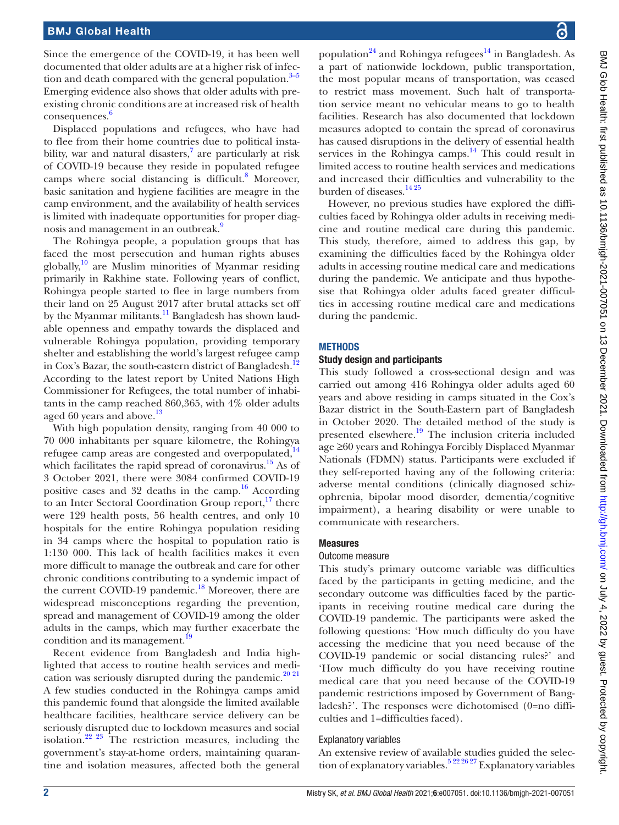Since the emergence of the COVID-19, it has been well documented that older adults are at a higher risk of infection and death compared with the general population. $3-5$ Emerging evidence also shows that older adults with preexisting chronic conditions are at increased risk of health consequences. [6](#page-8-3)

Displaced populations and refugees, who have had to flee from their home countries due to political insta-bility, war and natural disasters,<sup>[7](#page-8-4)</sup> are particularly at risk of COVID-19 because they reside in populated refugee camps where social distancing is difficult.<sup>8</sup> Moreover, basic sanitation and hygiene facilities are meagre in the camp environment, and the availability of health services is limited with inadequate opportunities for proper diag-nosis and management in an outbreak.<sup>[9](#page-8-6)</sup>

The Rohingya people, a population groups that has faced the most persecution and human rights abuses globally, $10$  are Muslim minorities of Myanmar residing primarily in Rakhine state. Following years of conflict, Rohingya people started to flee in large numbers from their land on 25 August 2017 after brutal attacks set off by the Myanmar militants.<sup>[11](#page-8-8)</sup> Bangladesh has shown laudable openness and empathy towards the displaced and vulnerable Rohingya population, providing temporary shelter and establishing the world's largest refugee camp in Cox's Bazar, the south-eastern district of Bangladesh.<sup>[12](#page-8-9)</sup> According to the latest report by United Nations High Commissioner for Refugees, the total number of inhabitants in the camp reached 860,365, with 4% older adults aged 60 years and above.<sup>[13](#page-8-10)</sup>

With high population density, ranging from 40 000 to 70 000 inhabitants per square kilometre, the Rohingya refugee camp areas are congested and overpopulated, $^{14}$ which facilitates the rapid spread of coronavirus.<sup>15</sup> As of 3 October 2021, there were 3084 confirmed COVID-19 positive cases and 32 deaths in the camp. $16$  According to an Inter Sectoral Coordination Group report,<sup>17</sup> there were 129 health posts, 56 health centres, and only 10 hospitals for the entire Rohingya population residing in 34 camps where the hospital to population ratio is 1:130 000. This lack of health facilities makes it even more difficult to manage the outbreak and care for other chronic conditions contributing to a syndemic impact of the current COVID-19 pandemic.<sup>[18](#page-8-15)</sup> Moreover, there are widespread misconceptions regarding the prevention, spread and management of COVID-19 among the older adults in the camps, which may further exacerbate the condition and its management.<sup>19</sup>

Recent evidence from Bangladesh and India highlighted that access to routine health services and medi-cation was seriously disrupted during the pandemic.<sup>[20 21](#page-8-17)</sup> A few studies conducted in the Rohingya camps amid this pandemic found that alongside the limited available healthcare facilities, healthcare service delivery can be seriously disrupted due to lockdown measures and social isolation.[22 23](#page-8-18) The restriction measures, including the government's stay-at-home orders, maintaining quarantine and isolation measures, affected both the general

BMJ Glob Health: first published as 10.1136/bmigh-2021-007051 on 13 December 2021. Downloaded from http://gh.bmj.com/ on July 4, 2022 by guest. Protected by copyright BMJ Glob Health: first published as 10.1136/bmjgh-2021-007051 on 13 December 2021. Downloaded from <http://gh.bmj.com/> 9n July 4, 2022 by guest. Protected by copyright

population<sup>24</sup> and Rohingya refugees<sup>14</sup> in Bangladesh. As a part of nationwide lockdown, public transportation, the most popular means of transportation, was ceased to restrict mass movement. Such halt of transportation service meant no vehicular means to go to health facilities. Research has also documented that lockdown measures adopted to contain the spread of coronavirus has caused disruptions in the delivery of essential health services in the Rohingya camps. $^{14}$  This could result in limited access to routine health services and medications and increased their difficulties and vulnerability to the burden of diseases.<sup>[14 25](#page-8-11)</sup>

However, no previous studies have explored the difficulties faced by Rohingya older adults in receiving medicine and routine medical care during this pandemic. This study, therefore, aimed to address this gap, by examining the difficulties faced by the Rohingya older adults in accessing routine medical care and medications during the pandemic. We anticipate and thus hypothesise that Rohingya older adults faced greater difficulties in accessing routine medical care and medications during the pandemic.

## **METHODS**

## Study design and participants

This study followed a cross-sectional design and was carried out among 416 Rohingya older adults aged 60 years and above residing in camps situated in the Cox's Bazar district in the South-Eastern part of Bangladesh in October 2020. The detailed method of the study is presented elsewhere[.19](#page-8-16) The inclusion criteria included age ≥60 years and Rohingya Forcibly Displaced Myanmar Nationals (FDMN) status. Participants were excluded if they self-reported having any of the following criteria: adverse mental conditions (clinically diagnosed schizophrenia, bipolar mood disorder, dementia/cognitive impairment), a hearing disability or were unable to communicate with researchers.

## **Measures**

# Outcome measure

This study's primary outcome variable was difficulties faced by the participants in getting medicine, and the secondary outcome was difficulties faced by the participants in receiving routine medical care during the COVID-19 pandemic. The participants were asked the following questions: 'How much difficulty do you have accessing the medicine that you need because of the COVID-19 pandemic or social distancing rules?' and 'How much difficulty do you have receiving routine medical care that you need because of the COVID-19 pandemic restrictions imposed by Government of Bangladesh?'. The responses were dichotomised (0=no difficulties and 1=difficulties faced).

# Explanatory variables

An extensive review of available studies guided the selection of explanatory variables.<sup>5 22 26 27</sup> Explanatory variables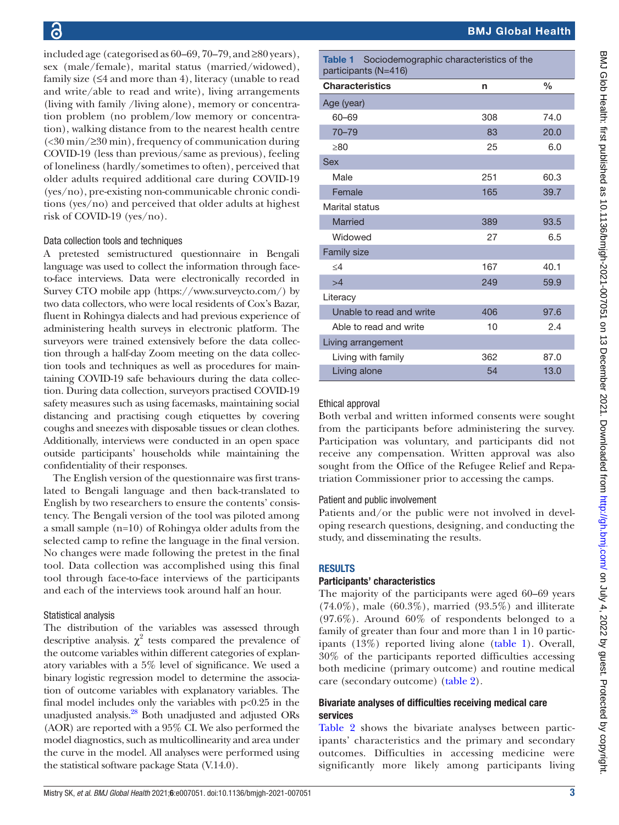included age (categorised as 60–69, 70–79, and ≥80 years), sex (male/female), marital status (married/widowed), family size  $(≤4$  and more than 4), literacy (unable to read and write/able to read and write), living arrangements (living with family /living alone), memory or concentration problem (no problem/low memory or concentration), walking distance from to the nearest health centre (<30 min/≥30 min), frequency of communication during COVID-19 (less than previous/same as previous), feeling of loneliness (hardly/sometimes to often), perceived that older adults required additional care during COVID-19 (yes/no), pre-existing non-communicable chronic conditions (yes/no) and perceived that older adults at highest risk of COVID-19 (yes/no).

#### Data collection tools and techniques

A pretested semistructured questionnaire in Bengali language was used to collect the information through faceto-face interviews. Data were electronically recorded in Survey CTO mobile app [\(https://www.surveycto.com/\)](https://www.surveycto.com/) by two data collectors, who were local residents of Cox's Bazar, fluent in Rohingya dialects and had previous experience of administering health surveys in electronic platform. The surveyors were trained extensively before the data collection through a half-day Zoom meeting on the data collection tools and techniques as well as procedures for maintaining COVID-19 safe behaviours during the data collection. During data collection, surveyors practised COVID-19 safety measures such as using facemasks, maintaining social distancing and practising cough etiquettes by covering coughs and sneezes with disposable tissues or clean clothes. Additionally, interviews were conducted in an open space outside participants' households while maintaining the confidentiality of their responses.

The English version of the questionnaire was first translated to Bengali language and then back-translated to English by two researchers to ensure the contents' consistency. The Bengali version of the tool was piloted among a small sample (n=10) of Rohingya older adults from the selected camp to refine the language in the final version. No changes were made following the pretest in the final tool. Data collection was accomplished using this final tool through face-to-face interviews of the participants and each of the interviews took around half an hour.

#### Statistical analysis

The distribution of the variables was assessed through descriptive analysis.  $\chi^2$  tests compared the prevalence of the outcome variables within different categories of explanatory variables with a 5% level of significance. We used a binary logistic regression model to determine the association of outcome variables with explanatory variables. The final model includes only the variables with  $p<0.25$  in the unadjusted analysis.<sup>28</sup> Both unadjusted and adjusted ORs (AOR) are reported with a 95% CI. We also performed the model diagnostics, such as multicollinearity and area under the curve in the model. All analyses were performed using the statistical software package Stata (V.14.0).

<span id="page-2-0"></span>Table 1 Sociodemographic characteristics of the participants (N=416)

| <b>Characteristics</b>   | n   | $\frac{0}{0}$ |
|--------------------------|-----|---------------|
| Age (year)               |     |               |
| 60-69                    | 308 | 74.0          |
| $70 - 79$                | 83  | 20.0          |
| >80                      | 25  | 6.0           |
| <b>Sex</b>               |     |               |
| Male                     | 251 | 60.3          |
| Female                   | 165 | 39.7          |
| Marital status           |     |               |
| Married                  | 389 | 93.5          |
| Widowed                  | 27  | 6.5           |
| <b>Family size</b>       |     |               |
| $\leq$ 4                 | 167 | 40.1          |
| >4                       | 249 | 59.9          |
| Literacy                 |     |               |
| Unable to read and write | 406 | 97.6          |
| Able to read and write   | 10  | 2.4           |
| Living arrangement       |     |               |
| Living with family       | 362 | 87.0          |
| Living alone             | 54  | 13.0          |

#### Ethical approval

Both verbal and written informed consents were sought from the participants before administering the survey. Participation was voluntary, and participants did not receive any compensation. Written approval was also sought from the Office of the Refugee Relief and Repatriation Commissioner prior to accessing the camps.

#### Patient and public involvement

Patients and/or the public were not involved in developing research questions, designing, and conducting the study, and disseminating the results.

#### RESULTS

#### Participants' characteristics

The majority of the participants were aged 60–69 years  $(74.0\%)$ , male  $(60.3\%)$ , married  $(93.5\%)$  and illiterate (97.6%). Around 60% of respondents belonged to a family of greater than four and more than 1 in 10 participants (13%) reported living alone ([table](#page-2-0) 1). Overall, 30% of the participants reported difficulties accessing both medicine (primary outcome) and routine medical care (secondary outcome) [\(table](#page-3-0) 2).

#### Bivariate analyses of difficulties receiving medical care services

[Table](#page-3-0) 2 shows the bivariate analyses between participants' characteristics and the primary and secondary outcomes. Difficulties in accessing medicine were significantly more likely among participants living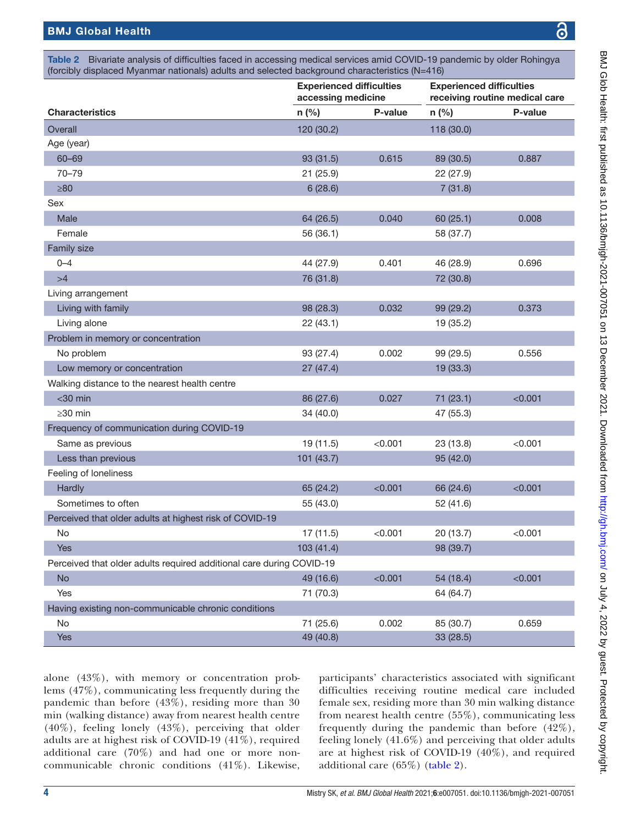<span id="page-3-0"></span>Table 2 Bivariate analysis of difficulties faced in accessing medical services amid COVID-19 pandemic by older Rohingya (forcibly displaced Myanmar nationals) adults and selected background characteristics (N=416)

|                                                                      | <b>Experienced difficulties</b><br>accessing medicine |         | <b>Experienced difficulties</b><br>receiving routine medical care |         |  |
|----------------------------------------------------------------------|-------------------------------------------------------|---------|-------------------------------------------------------------------|---------|--|
| <b>Characteristics</b>                                               | n (%)                                                 | P-value | $n$ (%)                                                           | P-value |  |
| Overall                                                              | 120 (30.2)                                            |         | 118 (30.0)                                                        |         |  |
| Age (year)                                                           |                                                       |         |                                                                   |         |  |
| 60-69                                                                | 93 (31.5)                                             | 0.615   | 89 (30.5)                                                         | 0.887   |  |
| $70 - 79$                                                            | 21(25.9)                                              |         | 22 (27.9)                                                         |         |  |
| $\geq 80$                                                            | 6(28.6)                                               |         | 7(31.8)                                                           |         |  |
| Sex                                                                  |                                                       |         |                                                                   |         |  |
| Male                                                                 | 64 (26.5)                                             | 0.040   | 60 (25.1)                                                         | 0.008   |  |
| Female                                                               | 56 (36.1)                                             |         | 58 (37.7)                                                         |         |  |
| Family size                                                          |                                                       |         |                                                                   |         |  |
| $0 - 4$                                                              | 44 (27.9)                                             | 0.401   | 46 (28.9)                                                         | 0.696   |  |
| >4                                                                   | 76 (31.8)                                             |         | 72 (30.8)                                                         |         |  |
| Living arrangement                                                   |                                                       |         |                                                                   |         |  |
| Living with family                                                   | 98 (28.3)                                             | 0.032   | 99 (29.2)                                                         | 0.373   |  |
| Living alone                                                         | 22(43.1)                                              |         | 19 (35.2)                                                         |         |  |
| Problem in memory or concentration                                   |                                                       |         |                                                                   |         |  |
| No problem                                                           | 93 (27.4)                                             | 0.002   | 99(29.5)                                                          | 0.556   |  |
| Low memory or concentration                                          | 27(47.4)                                              |         | 19 (33.3)                                                         |         |  |
| Walking distance to the nearest health centre                        |                                                       |         |                                                                   |         |  |
| $<$ 30 min                                                           | 86 (27.6)                                             | 0.027   | 71 (23.1)                                                         | < 0.001 |  |
| $\geq$ 30 min                                                        | 34 (40.0)                                             |         | 47 (55.3)                                                         |         |  |
| Frequency of communication during COVID-19                           |                                                       |         |                                                                   |         |  |
| Same as previous                                                     | 19 (11.5)                                             | < 0.001 | 23 (13.8)                                                         | < 0.001 |  |
| Less than previous                                                   | 101 (43.7)                                            |         | 95 (42.0)                                                         |         |  |
| Feeling of loneliness                                                |                                                       |         |                                                                   |         |  |
| Hardly                                                               | 65 (24.2)                                             | < 0.001 | 66 (24.6)                                                         | < 0.001 |  |
| Sometimes to often                                                   | 55 (43.0)                                             |         | 52 (41.6)                                                         |         |  |
| Perceived that older adults at highest risk of COVID-19              |                                                       |         |                                                                   |         |  |
| No                                                                   | 17 (11.5)                                             | < 0.001 | 20 (13.7)                                                         | < 0.001 |  |
| <b>Yes</b>                                                           | 103(41.4)                                             |         | 98 (39.7)                                                         |         |  |
| Perceived that older adults required additional care during COVID-19 |                                                       |         |                                                                   |         |  |
| <b>No</b>                                                            | 49 (16.6)                                             | < 0.001 | 54 (18.4)                                                         | < 0.001 |  |
| Yes                                                                  | 71 (70.3)                                             |         | 64 (64.7)                                                         |         |  |
| Having existing non-communicable chronic conditions                  |                                                       |         |                                                                   |         |  |
| No                                                                   | 71 (25.6)                                             | 0.002   | 85 (30.7)                                                         | 0.659   |  |
| Yes                                                                  | 49 (40.8)                                             |         | 33 (28.5)                                                         |         |  |

alone (43%), with memory or concentration problems (47%), communicating less frequently during the pandemic than before (43%), residing more than 30 min (walking distance) away from nearest health centre (40%), feeling lonely (43%), perceiving that older adults are at highest risk of COVID-19 (41%), required additional care (70%) and had one or more noncommunicable chronic conditions (41%). Likewise,

participants' characteristics associated with significant difficulties receiving routine medical care included female sex, residing more than 30 min walking distance from nearest health centre (55%), communicating less frequently during the pandemic than before (42%), feeling lonely (41.6%) and perceiving that older adults are at highest risk of COVID-19 (40%), and required additional care (65%) ([table](#page-3-0) 2).

෬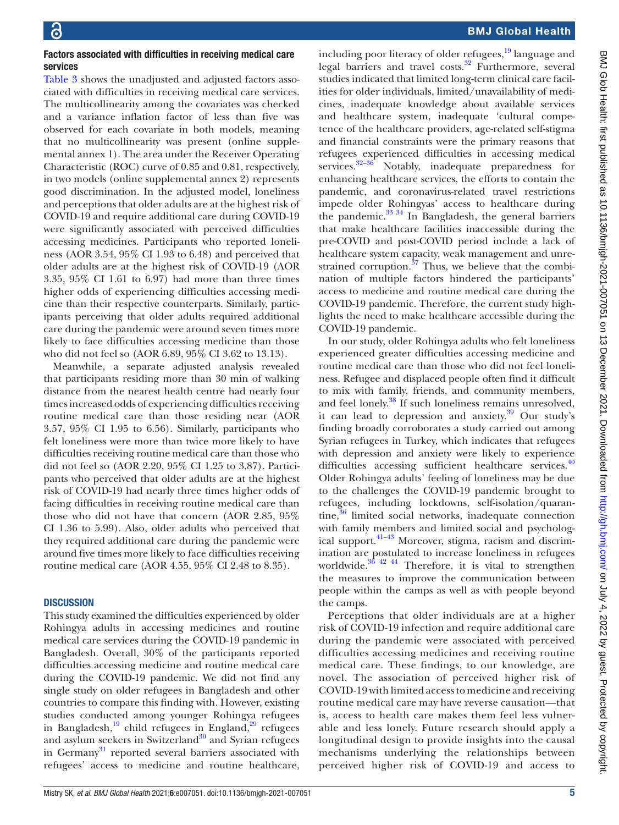#### Factors associated with difficulties in receiving medical care services

[Table](#page-5-0) 3 shows the unadjusted and adjusted factors associated with difficulties in receiving medical care services. The multicollinearity among the covariates was checked and a variance inflation factor of less than five was observed for each covariate in both models, meaning that no multicollinearity was present [\(online supple](https://dx.doi.org/10.1136/bmjgh-2021-007051)[mental annex 1](https://dx.doi.org/10.1136/bmjgh-2021-007051)). The area under the Receiver Operating Characteristic (ROC) curve of 0.85 and 0.81, respectively, in two models [\(online supplemental annex 2](https://dx.doi.org/10.1136/bmjgh-2021-007051)) represents good discrimination. In the adjusted model, loneliness and perceptions that older adults are at the highest risk of COVID-19 and require additional care during COVID-19 were significantly associated with perceived difficulties accessing medicines. Participants who reported loneliness (AOR 3.54, 95% CI 1.93 to 6.48) and perceived that older adults are at the highest risk of COVID-19 (AOR 3.35, 95% CI 1.61 to 6.97) had more than three times higher odds of experiencing difficulties accessing medicine than their respective counterparts. Similarly, participants perceiving that older adults required additional care during the pandemic were around seven times more likely to face difficulties accessing medicine than those who did not feel so (AOR 6.89, 95% CI 3.62 to 13.13).

Meanwhile, a separate adjusted analysis revealed that participants residing more than 30 min of walking distance from the nearest health centre had nearly four times increased odds of experiencing difficulties receiving routine medical care than those residing near (AOR 3.57, 95% CI 1.95 to 6.56). Similarly, participants who felt loneliness were more than twice more likely to have difficulties receiving routine medical care than those who did not feel so (AOR 2.20, 95% CI 1.25 to 3.87). Participants who perceived that older adults are at the highest risk of COVID-19 had nearly three times higher odds of facing difficulties in receiving routine medical care than those who did not have that concern (AOR 2.85, 95% CI 1.36 to 5.99). Also, older adults who perceived that they required additional care during the pandemic were around five times more likely to face difficulties receiving routine medical care (AOR 4.55, 95% CI 2.48 to 8.35).

#### **DISCUSSION**

This study examined the difficulties experienced by older Rohingya adults in accessing medicines and routine medical care services during the COVID-19 pandemic in Bangladesh. Overall, 30% of the participants reported difficulties accessing medicine and routine medical care during the COVID-19 pandemic. We did not find any single study on older refugees in Bangladesh and other countries to compare this finding with. However, existing studies conducted among younger Rohingya refugees in Bangladesh, $19$  child refugees in England, $29$  refugees and asylum seekers in Switzerland $30$  and Syrian refugees in Germany<sup>31</sup> reported several barriers associated with refugees' access to medicine and routine healthcare,

including poor literacy of older refugees, $^{19}$  language and legal barriers and travel costs. $32$  Furthermore, several studies indicated that limited long-term clinical care facilities for older individuals, limited/unavailability of medicines, inadequate knowledge about available services and healthcare system, inadequate 'cultural competence of the healthcare providers, age-related self-stigma and financial constraints were the primary reasons that refugees experienced difficulties in accessing medical services.<sup>32-36</sup> Notably, inadequate preparedness for enhancing healthcare services, the efforts to contain the pandemic, and coronavirus-related travel restrictions impede older Rohingyas' access to healthcare during the pandemic. $33 \frac{34}{1}$  In Bangladesh, the general barriers that make healthcare facilities inaccessible during the pre-COVID and post-COVID period include a lack of healthcare system capacity, weak management and unrestrained corruption. $37$  Thus, we believe that the combination of multiple factors hindered the participants' access to medicine and routine medical care during the COVID-19 pandemic. Therefore, the current study highlights the need to make healthcare accessible during the COVID-19 pandemic.

In our study, older Rohingya adults who felt loneliness experienced greater difficulties accessing medicine and routine medical care than those who did not feel loneliness. Refugee and displaced people often find it difficult to mix with family, friends, and community members, and feel lonely.<sup>[38](#page-9-1)</sup> If such loneliness remains unresolved, it can lead to depression and anxiety. $39$  Our study's finding broadly corroborates a study carried out among Syrian refugees in Turkey, which indicates that refugees with depression and anxiety were likely to experience difficulties accessing sufficient healthcare services.<sup>[40](#page-9-3)</sup> Older Rohingya adults' feeling of loneliness may be due to the challenges the COVID-19 pandemic brought to refugees, including lockdowns, self-isolation/quarantine, $36$  limited social networks, inadequate connection with family members and limited social and psychological support[.41–43](#page-9-4) Moreover, stigma, racism and discrimination are postulated to increase loneliness in refugees worldwide. $36$ <sup>42</sup> 44 Therefore, it is vital to strengthen the measures to improve the communication between people within the camps as well as with people beyond the camps.

Perceptions that older individuals are at a higher risk of COVID-19 infection and require additional care during the pandemic were associated with perceived difficulties accessing medicines and receiving routine medical care. These findings, to our knowledge, are novel. The association of perceived higher risk of COVID-19 with limited access to medicine and receiving routine medical care may have reverse causation—that is, access to health care makes them feel less vulnerable and less lonely. Future research should apply a longitudinal design to provide insights into the causal mechanisms underlying the relationships between perceived higher risk of COVID-19 and access to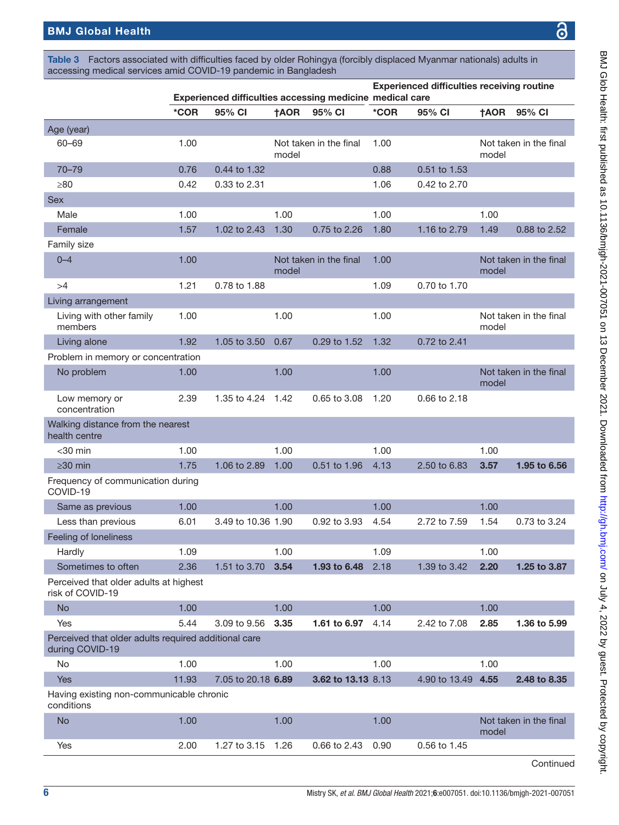<span id="page-5-0"></span>Table 3 Factors associated with difficulties faced by older Rohingya (forcibly displaced Myanmar nationals) adults in accessing medical services amid COVID-19 pandemic in Bangladesh

|                                                                         | Experienced difficulties accessing medicine medical care |                    |                                 |                    | <b>Experienced difficulties receiving routine</b> |               |                                 |                        |  |
|-------------------------------------------------------------------------|----------------------------------------------------------|--------------------|---------------------------------|--------------------|---------------------------------------------------|---------------|---------------------------------|------------------------|--|
|                                                                         | *COR                                                     | 95% CI             | <b>†AOR</b>                     | 95% CI             | *COR                                              | 95% CI        | <b>†AOR</b>                     | 95% CI                 |  |
| Age (year)                                                              |                                                          |                    |                                 |                    |                                                   |               |                                 |                        |  |
| 60-69                                                                   | 1.00                                                     |                    | Not taken in the final<br>model |                    | 1.00                                              |               | model                           | Not taken in the final |  |
| $70 - 79$                                                               | 0.76                                                     | 0.44 to 1.32       |                                 |                    | 0.88                                              | 0.51 to 1.53  |                                 |                        |  |
| $\geq 80$                                                               | 0.42                                                     | 0.33 to 2.31       |                                 |                    | 1.06                                              | 0.42 to 2.70  |                                 |                        |  |
| <b>Sex</b>                                                              |                                                          |                    |                                 |                    |                                                   |               |                                 |                        |  |
| Male                                                                    | 1.00                                                     |                    | 1.00                            |                    | 1.00                                              |               | 1.00                            |                        |  |
| Female                                                                  | 1.57                                                     | 1.02 to 2.43       | 1.30                            | 0.75 to 2.26       | 1.80                                              | 1.16 to 2.79  | 1.49                            | 0.88 to 2.52           |  |
| Family size                                                             |                                                          |                    |                                 |                    |                                                   |               |                                 |                        |  |
| $0 - 4$                                                                 | 1.00                                                     |                    | Not taken in the final<br>model |                    | 1.00                                              |               | Not taken in the final<br>model |                        |  |
| >4                                                                      | 1.21                                                     | 0.78 to 1.88       |                                 |                    | 1.09                                              | 0.70 to 1.70  |                                 |                        |  |
| Living arrangement                                                      |                                                          |                    |                                 |                    |                                                   |               |                                 |                        |  |
| Living with other family<br>members                                     | 1.00                                                     |                    | 1.00                            |                    | 1.00                                              |               | model                           | Not taken in the final |  |
| Living alone                                                            | 1.92                                                     | 1.05 to 3.50       | 0.67                            | 0.29 to 1.52       | 1.32                                              | 0.72 to 2.41  |                                 |                        |  |
| Problem in memory or concentration                                      |                                                          |                    |                                 |                    |                                                   |               |                                 |                        |  |
| No problem                                                              | 1.00                                                     |                    | 1.00                            |                    | 1.00                                              |               | model                           | Not taken in the final |  |
| Low memory or<br>concentration                                          | 2.39                                                     | 1.35 to 4.24       | 1.42                            | 0.65 to 3.08       | 1.20                                              | 0.66 to 2.18  |                                 |                        |  |
| Walking distance from the nearest<br>health centre                      |                                                          |                    |                                 |                    |                                                   |               |                                 |                        |  |
| $<$ 30 min                                                              | 1.00                                                     |                    | 1.00                            |                    | 1.00                                              |               | 1.00                            |                        |  |
| $\geq$ 30 min                                                           | 1.75                                                     | 1.06 to 2.89       | 1.00                            | 0.51 to 1.96       | 4.13                                              | 2.50 to 6.83  | 3.57                            | 1.95 to 6.56           |  |
| Frequency of communication during<br>COVID-19                           |                                                          |                    |                                 |                    |                                                   |               |                                 |                        |  |
| Same as previous                                                        | 1.00                                                     |                    | 1.00                            |                    | 1.00                                              |               | 1.00                            |                        |  |
| Less than previous                                                      | 6.01                                                     | 3.49 to 10.36 1.90 |                                 | 0.92 to 3.93       | 4.54                                              | 2.72 to 7.59  | 1.54                            | 0.73 to 3.24           |  |
| Feeling of loneliness                                                   |                                                          |                    |                                 |                    |                                                   |               |                                 |                        |  |
| Hardly                                                                  | 1.09                                                     |                    | 1.00                            |                    | 1.09                                              |               | 1.00                            |                        |  |
| Sometimes to often                                                      | 2.36                                                     | 1.51 to 3.70       | 3.54                            | 1.93 to 6.48       | 2.18                                              | 1.39 to 3.42  | 2.20                            | 1.25 to 3.87           |  |
| Perceived that older adults at highest<br>risk of COVID-19              |                                                          |                    |                                 |                    |                                                   |               |                                 |                        |  |
| <b>No</b>                                                               | 1.00                                                     |                    | 1.00                            |                    | 1.00                                              |               | 1.00                            |                        |  |
| Yes                                                                     | 5.44                                                     | 3.09 to 9.56       | 3.35                            | 1.61 to 6.97       | 4.14                                              | 2.42 to 7.08  | 2.85                            | 1.36 to 5.99           |  |
| Perceived that older adults required additional care<br>during COVID-19 |                                                          |                    |                                 |                    |                                                   |               |                                 |                        |  |
| No                                                                      | 1.00                                                     |                    | 1.00                            |                    | 1.00                                              |               | 1.00                            |                        |  |
| <b>Yes</b>                                                              | 11.93                                                    | 7.05 to 20.18 6.89 |                                 | 3.62 to 13.13 8.13 |                                                   | 4.90 to 13.49 | 4.55                            | 2.48 to 8.35           |  |
| Having existing non-communicable chronic<br>conditions                  |                                                          |                    |                                 |                    |                                                   |               |                                 |                        |  |
| <b>No</b>                                                               | 1.00                                                     |                    | 1.00                            |                    | 1.00                                              |               | model                           | Not taken in the final |  |
| Yes                                                                     | 2.00                                                     | 1.27 to 3.15       | 1.26                            | 0.66 to 2.43       | 0.90                                              | 0.56 to 1.45  |                                 |                        |  |
|                                                                         |                                                          |                    |                                 |                    |                                                   |               |                                 | Continued              |  |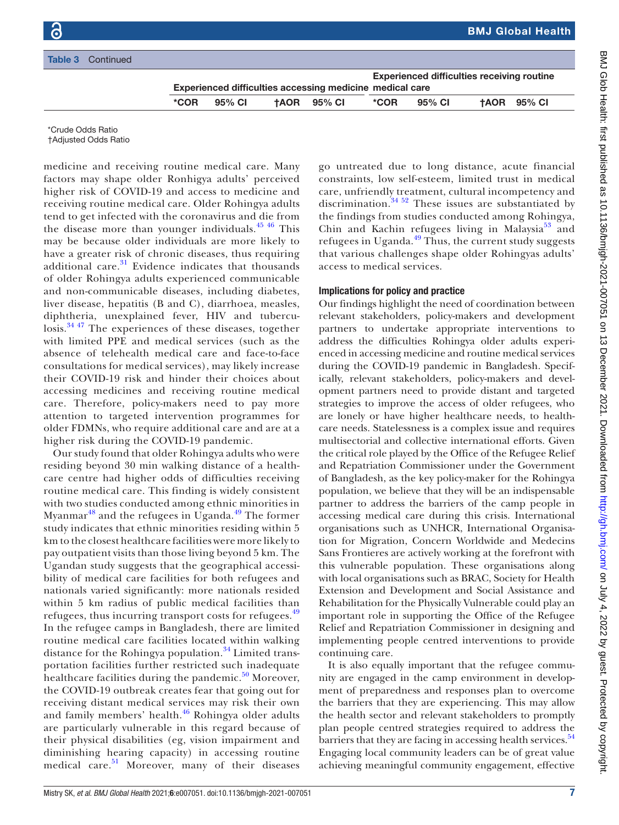|  | <b>Table 3</b> Continued |                                                          |        |  |                    |                                                   |        |  |                    |  |
|--|--------------------------|----------------------------------------------------------|--------|--|--------------------|---------------------------------------------------|--------|--|--------------------|--|
|  |                          | Experienced difficulties accessing medicine medical care |        |  |                    | <b>Experienced difficulties receiving routine</b> |        |  |                    |  |
|  |                          |                                                          |        |  |                    |                                                   |        |  |                    |  |
|  |                          | *COR                                                     | 95% CI |  | <b>TAOR 95% CI</b> | *COR                                              | 95% CI |  | <b>TAOR 95% CI</b> |  |
|  |                          |                                                          |        |  |                    |                                                   |        |  |                    |  |

\*Crude Odds Ratio

†Adjusted Odds Ratio

medicine and receiving routine medical care. Many factors may shape older Ronhigya adults' perceived higher risk of COVID-19 and access to medicine and receiving routine medical care. Older Rohingya adults tend to get infected with the coronavirus and die from the disease more than younger individuals.  $45\frac{46}{10}$  This may be because older individuals are more likely to have a greater risk of chronic diseases, thus requiring additional care. $31$  Evidence indicates that thousands of older Rohingya adults experienced communicable and non-communicable diseases, including diabetes, liver disease, hepatitis (B and C), diarrhoea, measles, diphtheria, unexplained fever, HIV and tuberculosis.[34 47](#page-8-28) The experiences of these diseases, together with limited PPE and medical services (such as the absence of telehealth medical care and face-to-face consultations for medical services), may likely increase their COVID-19 risk and hinder their choices about accessing medicines and receiving routine medical care. Therefore, policy-makers need to pay more attention to targeted intervention programmes for older FDMNs, who require additional care and are at a higher risk during the COVID-19 pandemic.

Our study found that older Rohingya adults who were residing beyond 30 min walking distance of a healthcare centre had higher odds of difficulties receiving routine medical care. This finding is widely consistent with two studies conducted among ethnic minorities in Myanmar<sup>48</sup> and the refugees in Uganda.<sup>49</sup> The former study indicates that ethnic minorities residing within 5 km to the closest healthcare facilities were more likely to pay outpatient visits than those living beyond 5 km. The Ugandan study suggests that the geographical accessibility of medical care facilities for both refugees and nationals varied significantly: more nationals resided within 5 km radius of public medical facilities than refugees, thus incurring transport costs for refugees.<sup>[49](#page-9-7)</sup> In the refugee camps in Bangladesh, there are limited routine medical care facilities located within walking distance for the Rohingya population.<sup>34</sup> Limited transportation facilities further restricted such inadequate healthcare facilities during the pandemic. $50$  Moreover, the COVID-19 outbreak creates fear that going out for receiving distant medical services may risk their own and family members' health.<sup>46</sup> Rohingya older adults are particularly vulnerable in this regard because of their physical disabilities (eg, vision impairment and diminishing hearing capacity) in accessing routine medical care. $51$  Moreover, many of their diseases

go untreated due to long distance, acute financial constraints, low self-esteem, limited trust in medical care, unfriendly treatment, cultural incompetency and discrimination.[34 52](#page-8-28) These issues are substantiated by the findings from studies conducted among Rohingya, Chin and Kachin refugees living in Malaysia<sup>53</sup> and refugees in Uganda. $49$  Thus, the current study suggests that various challenges shape older Rohingyas adults' access to medical services.

## Implications for policy and practice

Our findings highlight the need of coordination between relevant stakeholders, policy-makers and development partners to undertake appropriate interventions to address the difficulties Rohingya older adults experienced in accessing medicine and routine medical services during the COVID-19 pandemic in Bangladesh. Specifically, relevant stakeholders, policy-makers and development partners need to provide distant and targeted strategies to improve the access of older refugees, who are lonely or have higher healthcare needs, to healthcare needs. Statelessness is a complex issue and requires multisectorial and collective international efforts. Given the critical role played by the Office of the Refugee Relief and Repatriation Commissioner under the Government of Bangladesh, as the key policy-maker for the Rohingya population, we believe that they will be an indispensable partner to address the barriers of the camp people in accessing medical care during this crisis. International organisations such as UNHCR, International Organisation for Migration, Concern Worldwide and Medecins Sans Frontieres are actively working at the forefront with this vulnerable population. These organisations along with local organisations such as BRAC, Society for Health Extension and Development and Social Assistance and Rehabilitation for the Physically Vulnerable could play an important role in supporting the Office of the Refugee Relief and Repatriation Commissioner in designing and implementing people centred interventions to provide continuing care.

It is also equally important that the refugee community are engaged in the camp environment in development of preparedness and responses plan to overcome the barriers that they are experiencing. This may allow the health sector and relevant stakeholders to promptly plan people centred strategies required to address the barriers that they are facing in accessing health services.<sup>54</sup> Engaging local community leaders can be of great value achieving meaningful community engagement, effective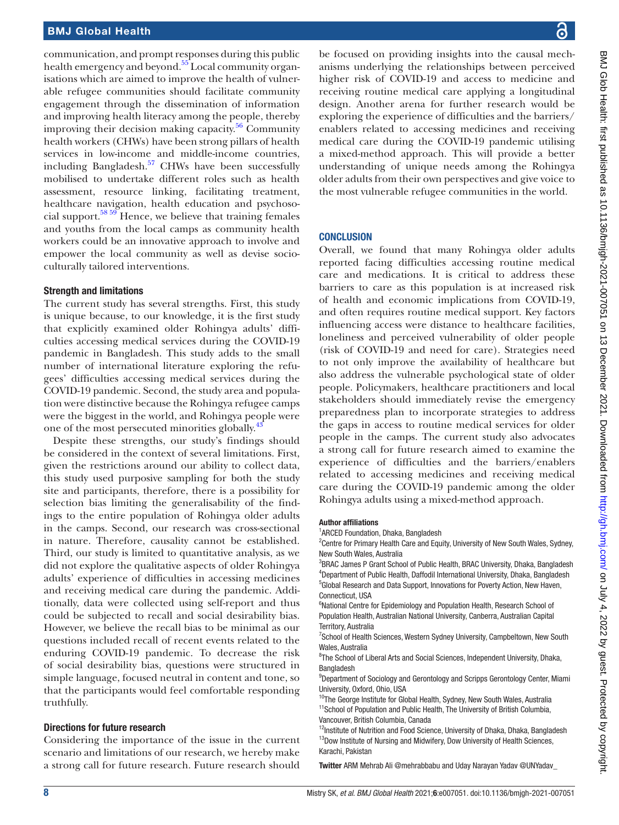communication, and prompt responses during this public health emergency and beyond.<sup>55</sup> Local community organisations which are aimed to improve the health of vulnerable refugee communities should facilitate community engagement through the dissemination of information and improving health literacy among the people, thereby improving their decision making capacity. $56$  Community health workers (CHWs) have been strong pillars of health services in low-income and middle-income countries, including Bangladesh.<sup>57</sup> CHWs have been successfully mobilised to undertake different roles such as health assessment, resource linking, facilitating treatment, healthcare navigation, health education and psychoso-cial support.<sup>[58 59](#page-9-16)</sup> Hence, we believe that training females and youths from the local camps as community health workers could be an innovative approach to involve and empower the local community as well as devise socioculturally tailored interventions.

#### Strength and limitations

The current study has several strengths. First, this study is unique because, to our knowledge, it is the first study that explicitly examined older Rohingya adults' difficulties accessing medical services during the COVID-19 pandemic in Bangladesh. This study adds to the small number of international literature exploring the refugees' difficulties accessing medical services during the COVID-19 pandemic. Second, the study area and population were distinctive because the Rohingya refugee camps were the biggest in the world, and Rohingya people were one of the most persecuted minorities globally.<sup>4</sup>

Despite these strengths, our study's findings should be considered in the context of several limitations. First, given the restrictions around our ability to collect data, this study used purposive sampling for both the study site and participants, therefore, there is a possibility for selection bias limiting the generalisability of the findings to the entire population of Rohingya older adults in the camps. Second, our research was cross-sectional in nature. Therefore, causality cannot be established. Third, our study is limited to quantitative analysis, as we did not explore the qualitative aspects of older Rohingya adults' experience of difficulties in accessing medicines and receiving medical care during the pandemic. Additionally, data were collected using self-report and thus could be subjected to recall and social desirability bias. However, we believe the recall bias to be minimal as our questions included recall of recent events related to the enduring COVID-19 pandemic. To decrease the risk of social desirability bias, questions were structured in simple language, focused neutral in content and tone, so that the participants would feel comfortable responding truthfully.

## Directions for future research

Considering the importance of the issue in the current scenario and limitations of our research, we hereby make a strong call for future research. Future research should be focused on providing insights into the causal mechanisms underlying the relationships between perceived higher risk of COVID-19 and access to medicine and receiving routine medical care applying a longitudinal design. Another arena for further research would be exploring the experience of difficulties and the barriers/ enablers related to accessing medicines and receiving medical care during the COVID-19 pandemic utilising a mixed-method approach. This will provide a better understanding of unique needs among the Rohingya older adults from their own perspectives and give voice to the most vulnerable refugee communities in the world.

## **CONCLUSION**

Overall, we found that many Rohingya older adults reported facing difficulties accessing routine medical care and medications. It is critical to address these barriers to care as this population is at increased risk of health and economic implications from COVID-19, and often requires routine medical support. Key factors influencing access were distance to healthcare facilities, loneliness and perceived vulnerability of older people (risk of COVID-19 and need for care). Strategies need to not only improve the availability of healthcare but also address the vulnerable psychological state of older people. Policymakers, healthcare practitioners and local stakeholders should immediately revise the emergency preparedness plan to incorporate strategies to address the gaps in access to routine medical services for older people in the camps. The current study also advocates a strong call for future research aimed to examine the experience of difficulties and the barriers/enablers related to accessing medicines and receiving medical care during the COVID-19 pandemic among the older Rohingya adults using a mixed-method approach.

#### Author affiliations

<sup>1</sup> ARCED Foundation, Dhaka, Bangladesh

<sup>2</sup> Centre for Primary Health Care and Equity, University of New South Wales, Sydney, New South Wales, Australia

<sup>3</sup>BRAC James P Grant School of Public Health, BRAC University, Dhaka, Bangladesh 4 Department of Public Health, Daffodil International University, Dhaka, Bangladesh <sup>5</sup>Global Research and Data Support, Innovations for Poverty Action, New Haven, Connecticut, USA

<sup>6</sup>National Centre for Epidemiology and Population Health, Research School of Population Health, Australian National University, Canberra, Australian Capital Territory, Australia

<sup>7</sup>School of Health Sciences, Western Sydney University, Campbeltown, New South Wales, Australia

<sup>8</sup>The School of Liberal Arts and Social Sciences, Independent University, Dhaka, Bangladesh

<sup>9</sup>Department of Sociology and Gerontology and Scripps Gerontology Center, Miami University, Oxford, Ohio, USA

<sup>10</sup>The George Institute for Global Health, Sydney, New South Wales, Australia <sup>11</sup>School of Population and Public Health, The University of British Columbia, Vancouver, British Columbia, Canada

 $12$ Institute of Nutrition and Food Science, University of Dhaka, Dhaka, Bangladesh  $13$ Dow Institute of Nursing and Midwifery, Dow University of Health Sciences, Karachi, Pakistan

Twitter ARM Mehrab Ali [@mehrabbabu](https://twitter.com/mehrabbabu) and Uday Narayan Yadav [@UNYadav\\_](https://twitter.com/UNYadav_)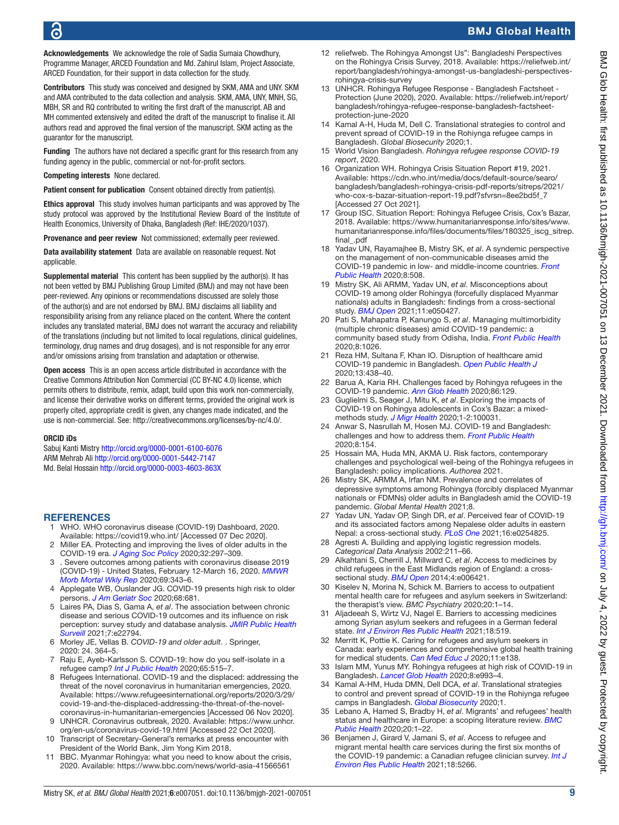Acknowledgements We acknowledge the role of Sadia Sumaia Chowdhury, Programme Manager, ARCED Foundation and Md. Zahirul Islam, Project Associate, ARCED Foundation, for their support in data collection for the study.

Contributors This study was conceived and designed by SKM, AMA and UNY. SKM and AMA contributed to the data collection and analysis. SKM, AMA, UNY, MNH, SG, MBH, SR and RQ contributed to writing the first draft of the manuscript. AB and MH commented extensively and edited the draft of the manuscript to finalise it. All authors read and approved the final version of the manuscript. SKM acting as the guarantor for the manuscript.

Funding The authors have not declared a specific grant for this research from any funding agency in the public, commercial or not-for-profit sectors.

#### Competing interests None declared.

Patient consent for publication Consent obtained directly from patient(s).

Ethics approval This study involves human participants and was approved by The study protocol was approved by the Institutional Review Board of the Institute of Health Economics, University of Dhaka, Bangladesh (Ref: IHE/2020/1037).

Provenance and peer review Not commissioned; externally peer reviewed.

Data availability statement Data are available on reasonable request. Not applicable.

Supplemental material This content has been supplied by the author(s). It has not been vetted by BMJ Publishing Group Limited (BMJ) and may not have been peer-reviewed. Any opinions or recommendations discussed are solely those of the author(s) and are not endorsed by BMJ. BMJ disclaims all liability and responsibility arising from any reliance placed on the content. Where the content includes any translated material, BMJ does not warrant the accuracy and reliability of the translations (including but not limited to local regulations, clinical guidelines, terminology, drug names and drug dosages), and is not responsible for any error and/or omissions arising from translation and adaptation or otherwise.

Open access This is an open access article distributed in accordance with the Creative Commons Attribution Non Commercial (CC BY-NC 4.0) license, which permits others to distribute, remix, adapt, build upon this work non-commercially, and license their derivative works on different terms, provided the original work is properly cited, appropriate credit is given, any changes made indicated, and the use is non-commercial. See:<http://creativecommons.org/licenses/by-nc/4.0/>.

#### ORCID iDs

Sabuj Kanti Mistry <http://orcid.org/0000-0001-6100-6076> ARM Mehrab Ali<http://orcid.org/0000-0001-5442-7147> Md. Belal Hossain<http://orcid.org/0000-0003-4603-863X>

#### <span id="page-8-0"></span>**REFERENCES**

- 1 WHO. WHO coronavirus disease (COVID-19) Dashboard, 2020. Available:<https://covid19.who.int/>[Accessed 07 Dec 2020].
- <span id="page-8-1"></span>2 Miller EA. Protecting and improving the lives of older adults in the COVID-19 era. *[J Aging Soc Policy](http://dx.doi.org/10.1080/08959420.2020.1780104)* 2020;32:297–309.
- <span id="page-8-2"></span>3 . Severe outcomes among patients with coronavirus disease 2019 (COVID-19) - United States, February 12-March 16, 2020. *[MMWR](http://dx.doi.org/10.15585/mmwr.mm6912e2)  [Morb Mortal Wkly Rep](http://dx.doi.org/10.15585/mmwr.mm6912e2)* 2020;69:343–6.
- 4 Applegate WB, Ouslander JG. COVID-19 presents high risk to older persons. *[J Am Geriatr Soc](http://dx.doi.org/10.1111/jgs.16426)* 2020;68:681.
- <span id="page-8-20"></span>5 Laires PA, Dias S, Gama A, *et al*. The association between chronic disease and serious COVID-19 outcomes and its influence on risk perception: survey study and database analysis. *[JMIR Public Health](http://dx.doi.org/10.2196/22794)  [Surveill](http://dx.doi.org/10.2196/22794)* 2021;7:e22794.
- <span id="page-8-3"></span>6 Morley JE, Vellas B. *[COVID-19 and older adult](http://dx.doi.org/10.1007/s12603-020-1349-9)*. . Springer, 2020: 24. 364–5.
- <span id="page-8-4"></span>7 Raju E, Ayeb-Karlsson S. COVID-19: how do you self-isolate in a refugee camp? *[Int J Public Health](http://dx.doi.org/10.1007/s00038-020-01381-8)* 2020;65:515–7.
- <span id="page-8-5"></span>8 Refugees International. COVID-19 and the displaced: addressing the threat of the novel coronavirus in humanitarian emergencies, 2020. Available: [https://www.refugeesinternational.org/reports/2020/3/29/](https://www.refugeesinternational.org/reports/2020/3/29/covid-19-and-the-displaced-addressing-the-threat-of-the-novel-coronavirus-in-humanitarian-emergencies) [covid-19-and-the-displaced-addressing-the-threat-of-the-novel](https://www.refugeesinternational.org/reports/2020/3/29/covid-19-and-the-displaced-addressing-the-threat-of-the-novel-coronavirus-in-humanitarian-emergencies)[coronavirus-in-humanitarian-emergencies](https://www.refugeesinternational.org/reports/2020/3/29/covid-19-and-the-displaced-addressing-the-threat-of-the-novel-coronavirus-in-humanitarian-emergencies) [Accessed 06 Nov 2020].
- <span id="page-8-6"></span>9 UNHCR. Coronavirus outbreak, 2020. Available: [https://www.unhcr.](https://www.unhcr.org/en-us/coronavirus-covid-19.html) [org/en-us/coronavirus-covid-19.html](https://www.unhcr.org/en-us/coronavirus-covid-19.html) [Accessed 22 Oct 2020].
- <span id="page-8-7"></span>10 Transcript of Secretary-General's remarks at press encounter with President of the World Bank, Jim Yong Kim 2018.
- <span id="page-8-8"></span>11 BBC. Myanmar Rohingya: what you need to know about the crisis, 2020. Available: <https://www.bbc.com/news/world-asia-41566561>
- <span id="page-8-9"></span>12 reliefweb. The Rohingya Amongst Us": Bangladeshi Perspectives on the Rohingya Crisis Survey, 2018. Available: [https://reliefweb.int/](https://reliefweb.int/report/bangladesh/rohingya-amongst-us-bangladeshi-perspectives-rohingya-crisis-survey) [report/bangladesh/rohingya-amongst-us-bangladeshi-perspectives](https://reliefweb.int/report/bangladesh/rohingya-amongst-us-bangladeshi-perspectives-rohingya-crisis-survey)[rohingya-crisis-survey](https://reliefweb.int/report/bangladesh/rohingya-amongst-us-bangladeshi-perspectives-rohingya-crisis-survey)
- <span id="page-8-10"></span>13 UNHCR. Rohingya Refugee Response - Bangladesh Factsheet - Protection (June 2020), 2020. Available: [https://reliefweb.int/report/](https://reliefweb.int/report/bangladesh/rohingya-refugee-response-bangladesh-factsheet-protection-june-2020) [bangladesh/rohingya-refugee-response-bangladesh-factsheet](https://reliefweb.int/report/bangladesh/rohingya-refugee-response-bangladesh-factsheet-protection-june-2020)[protection-june-2020](https://reliefweb.int/report/bangladesh/rohingya-refugee-response-bangladesh-factsheet-protection-june-2020)
- <span id="page-8-11"></span>14 Kamal A-H, Huda M, Dell C. Translational strategies to control and prevent spread of COVID-19 in the Rohiynga refugee camps in Bangladesh. *Global Biosecurity* 2020;1.
- <span id="page-8-12"></span>15 World Vision Bangladesh. *Rohingya refugee response COVID-19 report*, 2020.
- <span id="page-8-13"></span>16 Organization WH. Rohingya Crisis Situation Report #19, 2021. Available: [https://cdn.who.int/media/docs/default-source/searo/](https://cdn.who.int/media/docs/default-source/searo/bangladesh/bangladesh-rohingya-crisis-pdf-reports/sitreps/2021/who-cox-s-bazar-situation-report-19.pdf?sfvrsn=8ee2bd5f_7) [bangladesh/bangladesh-rohingya-crisis-pdf-reports/sitreps/2021/](https://cdn.who.int/media/docs/default-source/searo/bangladesh/bangladesh-rohingya-crisis-pdf-reports/sitreps/2021/who-cox-s-bazar-situation-report-19.pdf?sfvrsn=8ee2bd5f_7) [who-cox-s-bazar-situation-report-19.pdf?sfvrsn=8ee2bd5f\\_7](https://cdn.who.int/media/docs/default-source/searo/bangladesh/bangladesh-rohingya-crisis-pdf-reports/sitreps/2021/who-cox-s-bazar-situation-report-19.pdf?sfvrsn=8ee2bd5f_7)  [Accessed 27 Oct 2021].
- <span id="page-8-14"></span>17 Group ISC. Situation Report: Rohingya Refugee Crisis, Cox's Bazar, 2018. Available: [https://www.humanitarianresponse.info/sites/www.](https://www.humanitarianresponse.info/sites/www.humanitarianresponse.info/files/documents/files/180325_iscg_sitrep.final_.pdf) humanitarianresponse.info/files/documents/files/180325 iscq sitrep. [final\\_.pdf](https://www.humanitarianresponse.info/sites/www.humanitarianresponse.info/files/documents/files/180325_iscg_sitrep.final_.pdf)
- <span id="page-8-15"></span>18 Yadav UN, Rayamajhee B, Mistry SK, *et al*. A syndemic perspective on the management of non-communicable diseases amid the COVID-19 pandemic in low- and middle-income countries. *[Front](http://dx.doi.org/10.3389/fpubh.2020.00508)  [Public Health](http://dx.doi.org/10.3389/fpubh.2020.00508)* 2020;8:508.
- <span id="page-8-16"></span>19 Mistry SK, Ali ARMM, Yadav UN, *et al*. Misconceptions about COVID-19 among older Rohingya (forcefully displaced Myanmar nationals) adults in Bangladesh: findings from a cross-sectional study. *[BMJ Open](http://dx.doi.org/10.1136/bmjopen-2021-050427)* 2021;11:e050427.
- <span id="page-8-17"></span>20 Pati S, Mahapatra P, Kanungo S, *et al*. Managing multimorbidity (multiple chronic diseases) amid COVID-19 pandemic: a community based study from Odisha, India. *[Front Public Health](http://dx.doi.org/10.3389/fpubh.2020.584408)* 2020;8:1026.
- 21 Reza HM, Sultana F, Khan IO. Disruption of healthcare amid COVID-19 pandemic in Bangladesh. *[Open Public Health J](http://dx.doi.org/10.2174/1874944502013010438)* 2020;13:438–40.
- <span id="page-8-18"></span>22 Barua A, Karia RH. Challenges faced by Rohingya refugees in the COVID-19 pandemic. *[Ann Glob Health](http://dx.doi.org/10.5334/aogh.3052)* 2020;86:129.
- 23 Guglielmi S, Seager J, Mitu K, *et al*. Exploring the impacts of COVID-19 on Rohingya adolescents in Cox's Bazar: a mixedmethods study. *[J Migr Health](http://dx.doi.org/10.1016/j.jmh.2020.100031)* 2020;1-2:100031.
- <span id="page-8-19"></span>24 Anwar S, Nasrullah M, Hosen MJ. COVID-19 and Bangladesh: challenges and how to address them. *[Front Public Health](http://dx.doi.org/10.3389/fpubh.2020.00154)* 2020;8:154.
- 25 Hossain MA, Huda MN, AKMA U. Risk factors, contemporary challenges and psychological well-being of the Rohingya refugees in Bangladesh: policy implications. *Authorea* 2021.
- 26 Mistry SK, ARMM A, Irfan NM. Prevalence and correlates of depressive symptoms among Rohingya (forcibly displaced Myanmar nationals or FDMNs) older adults in Bangladesh amid the COVID-19 pandemic. *Global Mental Health* 2021;8.
- 27 Yadav UN, Yadav OP, Singh DR, *et al*. Perceived fear of COVID-19 and its associated factors among Nepalese older adults in eastern Nepal: a cross-sectional study. *[PLoS One](http://dx.doi.org/10.1371/journal.pone.0254825)* 2021;16:e0254825.
- <span id="page-8-21"></span>28 Agresti A. Building and applying logistic regression models. *Categorical Data Analysis* 2002:211–66.
- <span id="page-8-22"></span>29 Alkahtani S, Cherrill J, Millward C, *et al*. Access to medicines by child refugees in the East Midlands region of England: a crosssectional study. *[BMJ Open](http://dx.doi.org/10.1136/bmjopen-2014-006421)* 2014;4:e006421.
- <span id="page-8-23"></span>30 Kiselev N, Morina N, Schick M. Barriers to access to outpatient mental health care for refugees and asylum seekers in Switzerland: the therapist's view. *BMC Psychiatry* 2020;20:1–14.
- <span id="page-8-24"></span>31 Aljadeeah S, Wirtz VJ, Nagel E. Barriers to accessing medicines among Syrian asylum seekers and refugees in a German federal state. *[Int J Environ Res Public Health](http://dx.doi.org/10.3390/ijerph18020519)* 2021;18:519.
- <span id="page-8-25"></span>32 Merritt K, Pottie K. Caring for refugees and asylum seekers in Canada: early experiences and comprehensive global health training for medical students. *[Can Med Educ J](http://dx.doi.org/10.36834/cmej.69677)* 2020;11:e138.
- <span id="page-8-26"></span>33 Islam MM, Yunus MY. Rohingya refugees at high risk of COVID-19 in Bangladesh. *[Lancet Glob Health](http://dx.doi.org/10.1016/S2214-109X(20)30282-5)* 2020;8:e993–4.
- <span id="page-8-28"></span>34 Kamal A-HM, Huda DMN, Dell DCA, *et al*. Translational strategies to control and prevent spread of COVID-19 in the Rohiynga refugee camps in Bangladesh. *[Global Biosecurity](http://dx.doi.org/10.31646/gbio.77)* 2020;1.
- 35 Lebano A, Hamed S, Bradby H, *et al*. Migrants' and refugees' health status and healthcare in Europe: a scoping literature review. *[BMC](http://dx.doi.org/10.1186/s12889-020-08749-8)  [Public Health](http://dx.doi.org/10.1186/s12889-020-08749-8)* 2020;20:1–22.
- <span id="page-8-27"></span>36 Benjamen J, Girard V, Jamani S, *et al*. Access to refugee and migrant mental health care services during the first six months of the COVID-19 pandemic: a Canadian refugee clinician survey. *[Int J](http://dx.doi.org/10.3390/ijerph18105266)  [Environ Res Public Health](http://dx.doi.org/10.3390/ijerph18105266)* 2021;18:5266.